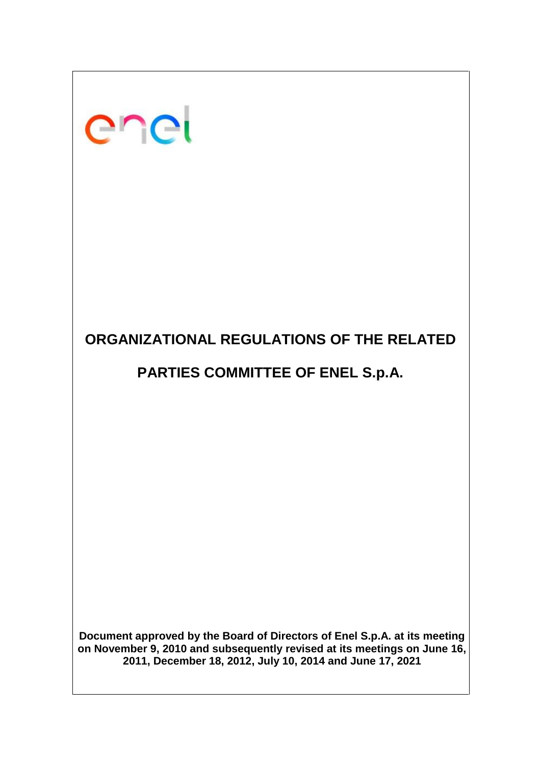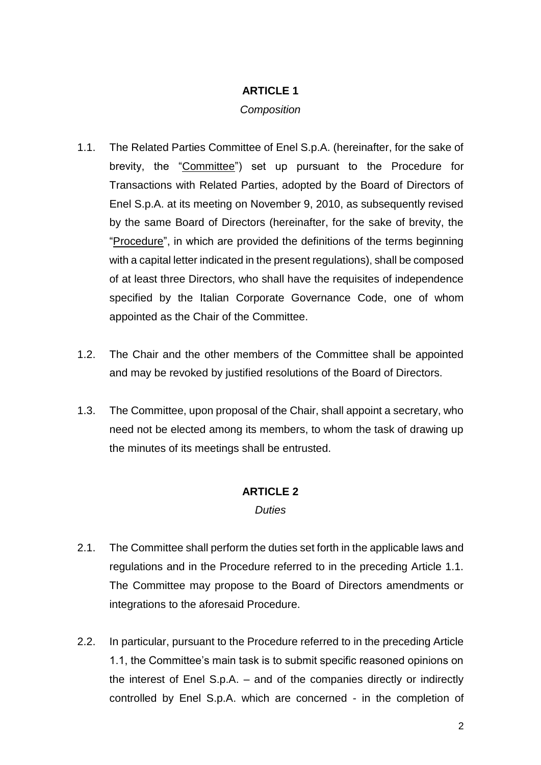# **ARTICLE 1**

### *Composition*

- 1.1. The Related Parties Committee of Enel S.p.A. (hereinafter, for the sake of brevity, the "Committee") set up pursuant to the Procedure for Transactions with Related Parties, adopted by the Board of Directors of Enel S.p.A. at its meeting on November 9, 2010, as subsequently revised by the same Board of Directors (hereinafter, for the sake of brevity, the "Procedure", in which are provided the definitions of the terms beginning with a capital letter indicated in the present regulations), shall be composed of at least three Directors, who shall have the requisites of independence specified by the Italian Corporate Governance Code, one of whom appointed as the Chair of the Committee.
- 1.2. The Chair and the other members of the Committee shall be appointed and may be revoked by justified resolutions of the Board of Directors.
- 1.3. The Committee, upon proposal of the Chair, shall appoint a secretary, who need not be elected among its members, to whom the task of drawing up the minutes of its meetings shall be entrusted.

# **ARTICLE 2**

### *Duties*

- 2.1. The Committee shall perform the duties set forth in the applicable laws and regulations and in the Procedure referred to in the preceding Article 1.1. The Committee may propose to the Board of Directors amendments or integrations to the aforesaid Procedure.
- 2.2. In particular, pursuant to the Procedure referred to in the preceding Article 1.1, the Committee's main task is to submit specific reasoned opinions on the interest of Enel S.p.A. – and of the companies directly or indirectly controlled by Enel S.p.A. which are concerned - in the completion of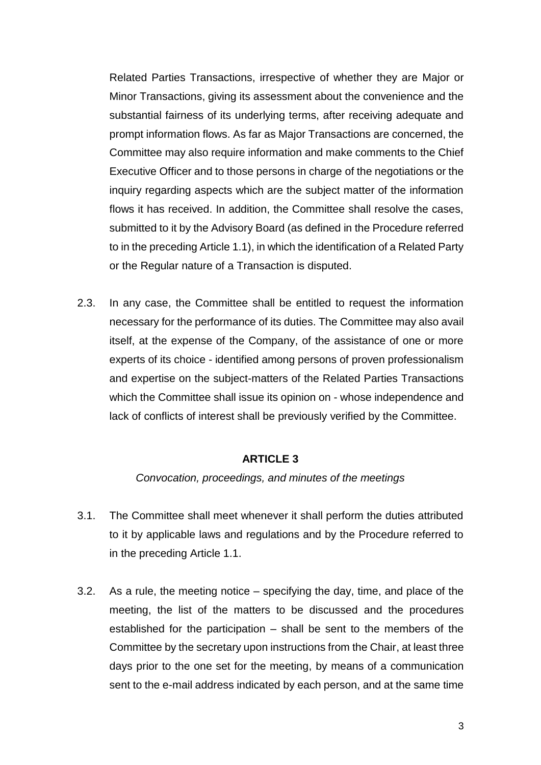Related Parties Transactions, irrespective of whether they are Major or Minor Transactions, giving its assessment about the convenience and the substantial fairness of its underlying terms, after receiving adequate and prompt information flows. As far as Major Transactions are concerned, the Committee may also require information and make comments to the Chief Executive Officer and to those persons in charge of the negotiations or the inquiry regarding aspects which are the subject matter of the information flows it has received. In addition, the Committee shall resolve the cases, submitted to it by the Advisory Board (as defined in the Procedure referred to in the preceding Article 1.1), in which the identification of a Related Party or the Regular nature of a Transaction is disputed.

2.3. In any case, the Committee shall be entitled to request the information necessary for the performance of its duties. The Committee may also avail itself, at the expense of the Company, of the assistance of one or more experts of its choice - identified among persons of proven professionalism and expertise on the subject-matters of the Related Parties Transactions which the Committee shall issue its opinion on - whose independence and lack of conflicts of interest shall be previously verified by the Committee.

#### **ARTICLE 3**

#### *Convocation, proceedings, and minutes of the meetings*

- 3.1. The Committee shall meet whenever it shall perform the duties attributed to it by applicable laws and regulations and by the Procedure referred to in the preceding Article 1.1.
- 3.2. As a rule, the meeting notice specifying the day, time, and place of the meeting, the list of the matters to be discussed and the procedures established for the participation – shall be sent to the members of the Committee by the secretary upon instructions from the Chair, at least three days prior to the one set for the meeting, by means of a communication sent to the e-mail address indicated by each person, and at the same time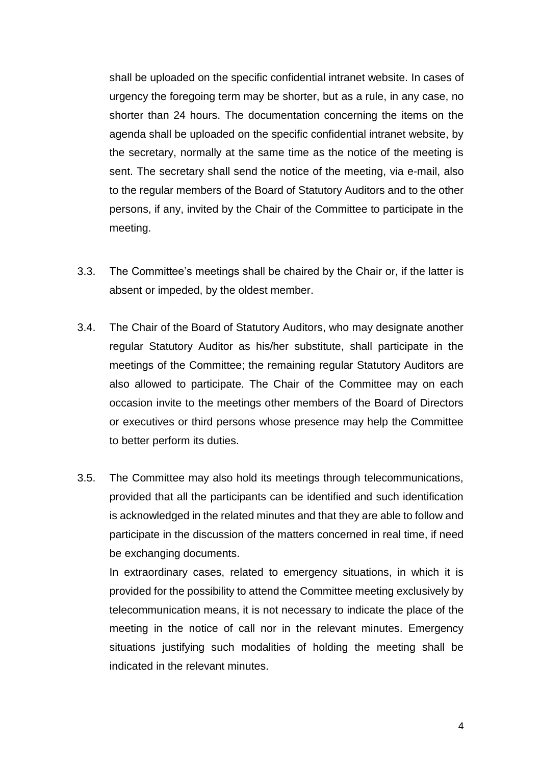shall be uploaded on the specific confidential intranet website. In cases of urgency the foregoing term may be shorter, but as a rule, in any case, no shorter than 24 hours. The documentation concerning the items on the agenda shall be uploaded on the specific confidential intranet website, by the secretary, normally at the same time as the notice of the meeting is sent. The secretary shall send the notice of the meeting, via e-mail, also to the regular members of the Board of Statutory Auditors and to the other persons, if any, invited by the Chair of the Committee to participate in the meeting.

- 3.3. The Committee's meetings shall be chaired by the Chair or, if the latter is absent or impeded, by the oldest member.
- 3.4. The Chair of the Board of Statutory Auditors, who may designate another regular Statutory Auditor as his/her substitute, shall participate in the meetings of the Committee; the remaining regular Statutory Auditors are also allowed to participate. The Chair of the Committee may on each occasion invite to the meetings other members of the Board of Directors or executives or third persons whose presence may help the Committee to better perform its duties.
- 3.5. The Committee may also hold its meetings through telecommunications, provided that all the participants can be identified and such identification is acknowledged in the related minutes and that they are able to follow and participate in the discussion of the matters concerned in real time, if need be exchanging documents.

In extraordinary cases, related to emergency situations, in which it is provided for the possibility to attend the Committee meeting exclusively by telecommunication means, it is not necessary to indicate the place of the meeting in the notice of call nor in the relevant minutes. Emergency situations justifying such modalities of holding the meeting shall be indicated in the relevant minutes.